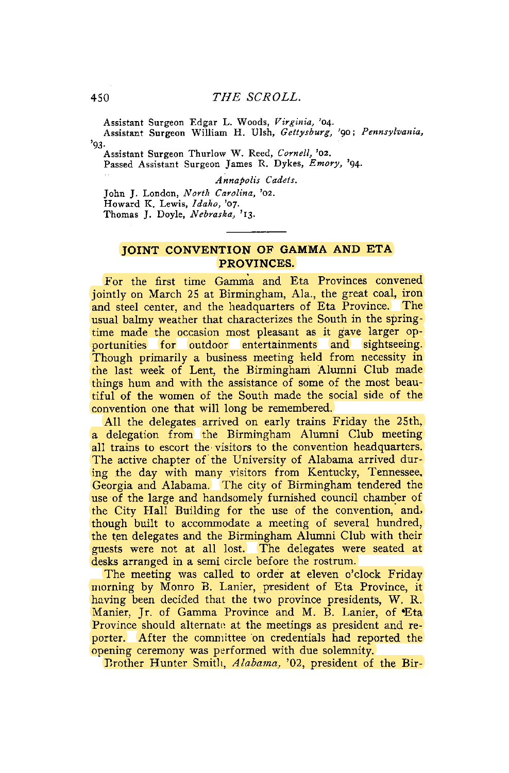Assistant Surgeon Edgar L. Woods, *Virginia,* '04. Assistant Surgeon William H. Ulsh, *Gettysburg,* '90; *Pennsylvania,*  **'93-**

Assistant Surgeon Thurlow W. Reed, *Cornell,* '02. Passed Assistant Surgeon James R. Dykes, *Emory,* '94.

*Annapolis Cadets.* 

John J. London, *North Carolina,* '02. Howard K. Lewis, *Idaho,* '07. Thomas J. Doyle, *Nebraska,* '13.

## **JOINT CONVENTION OF GAMMA AND ETA PROVINCES.**

For the first time Gamma and Eta Provinces convened iointly on March 25 at Birmingham, Ala., the great coal, iron and steel center, and the headquarters of Eta Province. The usual balmy weather that characterizes the South in the springtime made the occasion most pleasant as it gave larger opportunities for outdoor entertainments and sightseeing. Though primarily a business meeting held from necessity in the last week of Lent, the Birmingham Alumni Club made things hum and with the assistance of some of the most beautiful of the women of the South made the social side of the convention one that will long be remembered.

All the delegates arrived on early trains Friday the 25th, a delegation from the Birmingham Alumni Club meeting all trains to escort the visitors to the convention headquarters. The active chapter of the University of Alabama arrived during the day with many visitors from Kentucky, Tennessee, Georgia and Alabama. The city of Birmingham tendered the use of the large and handsomely furnished council chamber of the City Hall Building for the use of the convention, and, though built to accommodate a meeting of several hundred, the ten delegates and the Birmingham Alumni Club with their guests were not at all lost. The delegates were seated at desks arranged in a semi circle before the rostrum.

The meeting was called to order at eleven o'clock Friday morning by Monro B. Lanier, president of Eta Province, it having been decided that the two province presidents, W. R. Manier, Ir. of Gamma Province and M. B. Lanier, of Eta Province should alternate at the meetings as president and reporter. After the committee on credentials had reported the opening ceremony was performed with due solemnity.

Brother Hunter Smitli, *Alabama,* '02, president of the Bir-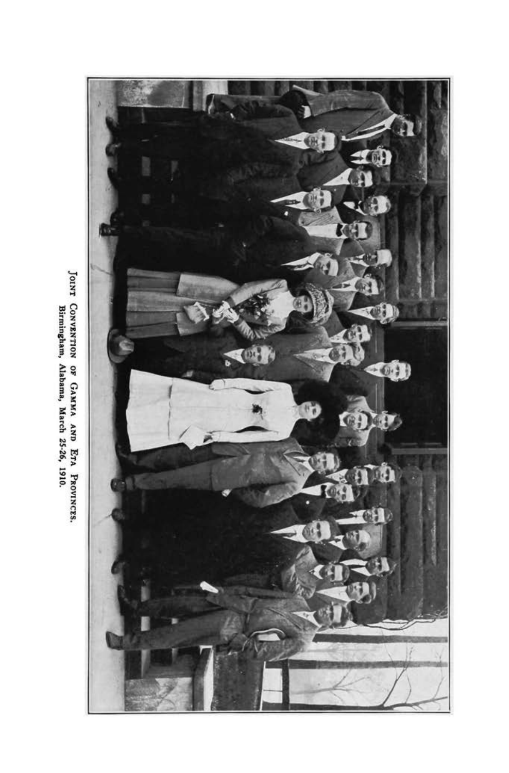

JOINT CONVENTION OF GAMMA AND ETA PROVINCES.<br>Birmingham, Alabama, March 25-26, 1910.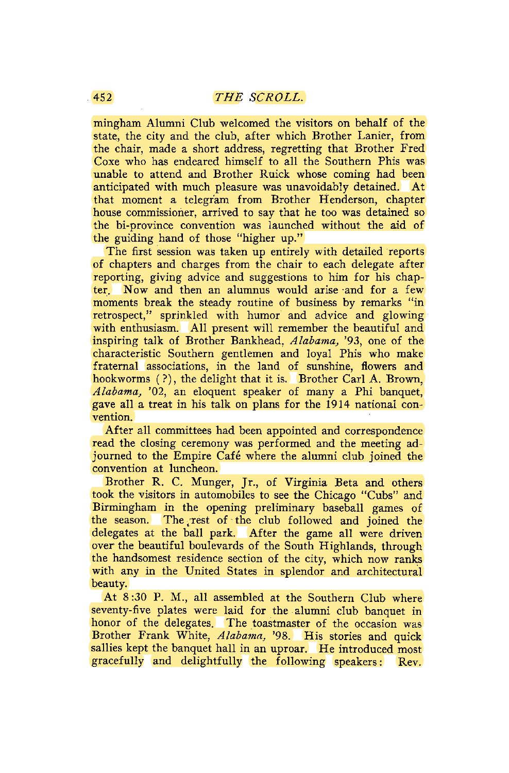mingham Alumni Club welcomed the visitors on behalf of the state, the city and the club, after which Brother Lanier, from the chair, made a short address, regretting that Brother Fred Coxe who has endeared himself to all the Southern Phis was unable to attend and Brother Ruick whose coming had been anticipated with much pleasure was unavoidably detained. At that moment a telegram from Brother Henderson, chapter house commissioner, arrived to say that he too was detained so the bi-province convention was launched without the aid of the guiding hand of those "higher up."

The first session was taken up entirely with detailed reports of chapters and charges from the chair to each delegate after reporting, giving advice and suggestions to him for his chapter. Now and then an alumnus would arise and for a few moments break the steady routine of business by remarks "in retrospect," sprinkled with humor and advice and glowing with enthusiasm. All present will remember the beautiful and inspiring talk of Brother Bankhead, *Alabama,* '93, one of the characteristic Southern gentlemen and loyal Phis who make fraternal associations, in the land of sunshine, flowers and hookworms (?), the delight that it is. Brother Carl A. Brown, *Alabama,* '02, an eloquent speaker of many a Phi banquet, gave all a treat in his talk on plans for the 1914 national convention.

After all committees had been appointed and correspondence read the closing ceremony was performed and the meeting adjourned to the Empire Café where the alumni club joined the convention at luncheon.

Brother R. C. Munger, Jr., of Virginia Beta and others took the visitors in automobiles to see the Chicago "Cubs" and Birmingham in the opening preliminary baseball games of the season. The,rest of the club followed and joined the delegates at the ball park. After the game all were driven over the beautiful boulevards of the South Highlands, through the handsomest residence section of the city, which now ranks with any in the United States in splendor and architectural beauty.

At 8 :30 P. M., all assembled at the Southern Club where seventy-five plates were laid for the alumni club banquet in honor of the delegates. The toastmaster of the occasion was Brother Frank White, *Alabama,* '98. His stories and quick sallies kept the banquet hall in an uproar. He introduced most gracefully and delightfully the following speakers: Rev.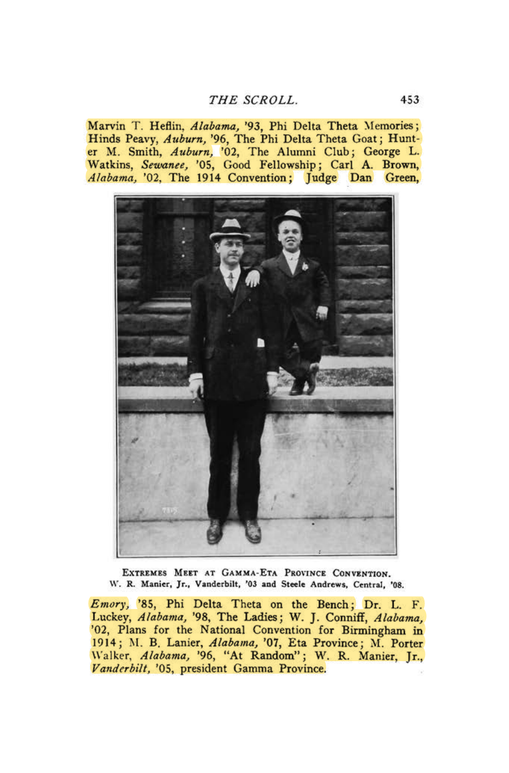## *THE SCROLL.* 453

Marvin T. Heflin, *Alabama,* '93, Phi Delta Theta Memories; Hinds Peavy, *Auburn,* '96, The Phi Delta Theta Goat; Hunter M. Smith, *Auburn,* '02, The Alumni Club; George L. Watkins, *Sewanee,* '05, Good Fellowship; Carl A. Brown, *Alabama,* '02, The 1914 Convention; Judge Dan Green,



EXTREMES MEET AT GAMMA-ETA PROVINCE CONVENTION. W. R. Manier, Jr., Vanderbilt, '03 and Steele Andrews, Central, \*08.

*Emory,* '85, Phi Delta Theta on the Bench; Dr. L. F. Luckey, *Alabama,* '98, The Ladies; W. J. Conniff, *Alabama,*  '02, Plans for the National Convention for Birmingham in 1914; M. B. Lanier, *Alabama,* '07, Eta Province; M. Porter Walker, *Alabama,* '96, "At Random"; W. R. Manier, Jr., *Vanderbilt,* '05, president Gamma Province.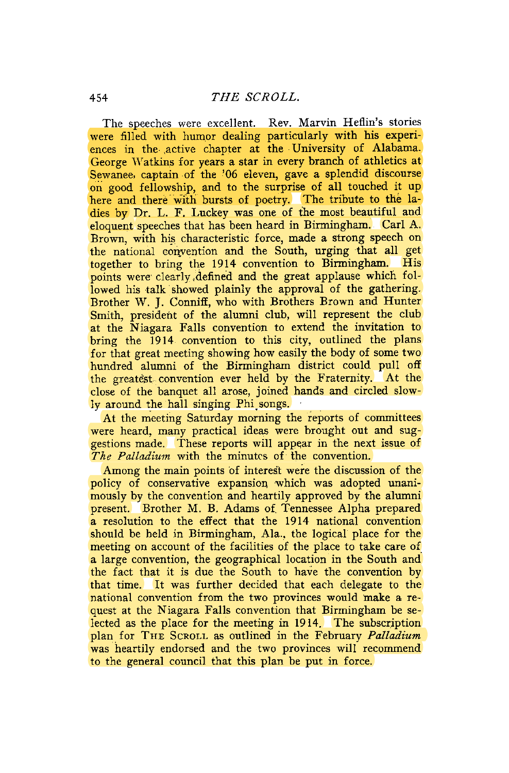The speeches were excellent. Rev. Marvin Heflin's stories were filled with humor dealing particularly with his experiences in the .active chapter at the University of Alabama. George Watkins for years a star in every branch of athletics at Sewanee, captain of the '06 eleven, gave a splendid discourse on good fellowship, and to the surprise of all touched it up here and there with bursts of poetry. The tribute to the ladies by Dr. L. F. Luckey was one of the most beautiful and eloquent speeches that has been heard in Birmingham. Carl A. Brown, with his characteristic force, made a strong speech on the national convention and the South, urging that all get together to bring the 1914 convention to Birmingham. His points were clearly .defined and the great applause which followed his talk showed plainly the approval of the gathering. Brother W. J. Conniff, who with Brothers Brown and Hunter Smith, president of the alumni club, will represent the club at the Niagara Falls convention to extend the invitation to bring the 1914 convention to this city, outlined the plans for that great meeting showing how easily the body of some two hundred alumni of the Birmingham district could pull off the greatest convention ever held by the Fraternity. At the close of the banquet all arose, joined hands and circled slowly around the hall singing Phisongs.

At the meeting Saturday morning the reports of committees were heard, many practical ideas were brought out and suggestions made. These reports will appear in the next issue of *The Palladium* with the minutes of the convention.

Among the main points of interest were the discussion of the policy of conservative expansion which was adopted unanimously by the convention and heartily approved by the alumni present. Brother M. B. Adams of Tennessee Alpha prepared a resolution to the effect that the 1914 national convention should be held in Birmingham, Ala., the logical place for the meeting on account of the facilities of the place to take care of a large convention, the geographical location in the South and the fact that it is due the South to have the convention by that time. It was further decided that each delegate to the national convention from the two provinces would make a request at the Niagara Falls convention that Birmingham be selected as the place for the meeting in 1914. The subscription plan for THE SCROLL as outlined in the February *Palladium*  was heartily endorsed and the two provinces will recommend to the general council that this plan be put in force.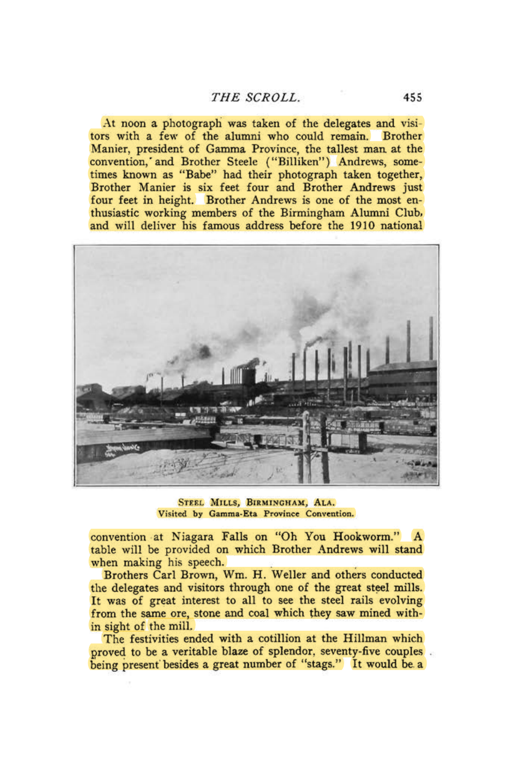## *THE SCROLL.* 455

At noon a photograph was taken of the delegates and visitors with a few of the alumni who could remain. Brother Manier, president of Gamma Province, the tallest man at the convention,'and Brother Steele ("Billiken") Andrews, sometimes known as "Babe" had their photograph taken together, Brother Manier is six feet four and Brother Andrews just four feet in height. Brother Andrews is one of the most enthusiastic working members of the Birmingham Alumni Club, and will deliver his famous address before the 1910 national



STEEL MILLS, BIRMINGHAM, ALA. Visited by Gamma-Eta Province Convention.

convention at Niagara Falls on "Oh You Hookworm." A table will be provided on which Brother Andrews will stand when making his speech.

Brothers Carl Brown, Wm. H. Weller and others conducted the delegates and visitors through one of the great steel mills. It was of great interest to all to see the steel rails evolving from the same ore, stone and coal which they saw mined within sight of the mill.

The festivities ended with a cotillion at the Hillman which proved to be a veritable blaze of splendor, seventy-five couples being present besides a great number of "stags." It would be. a